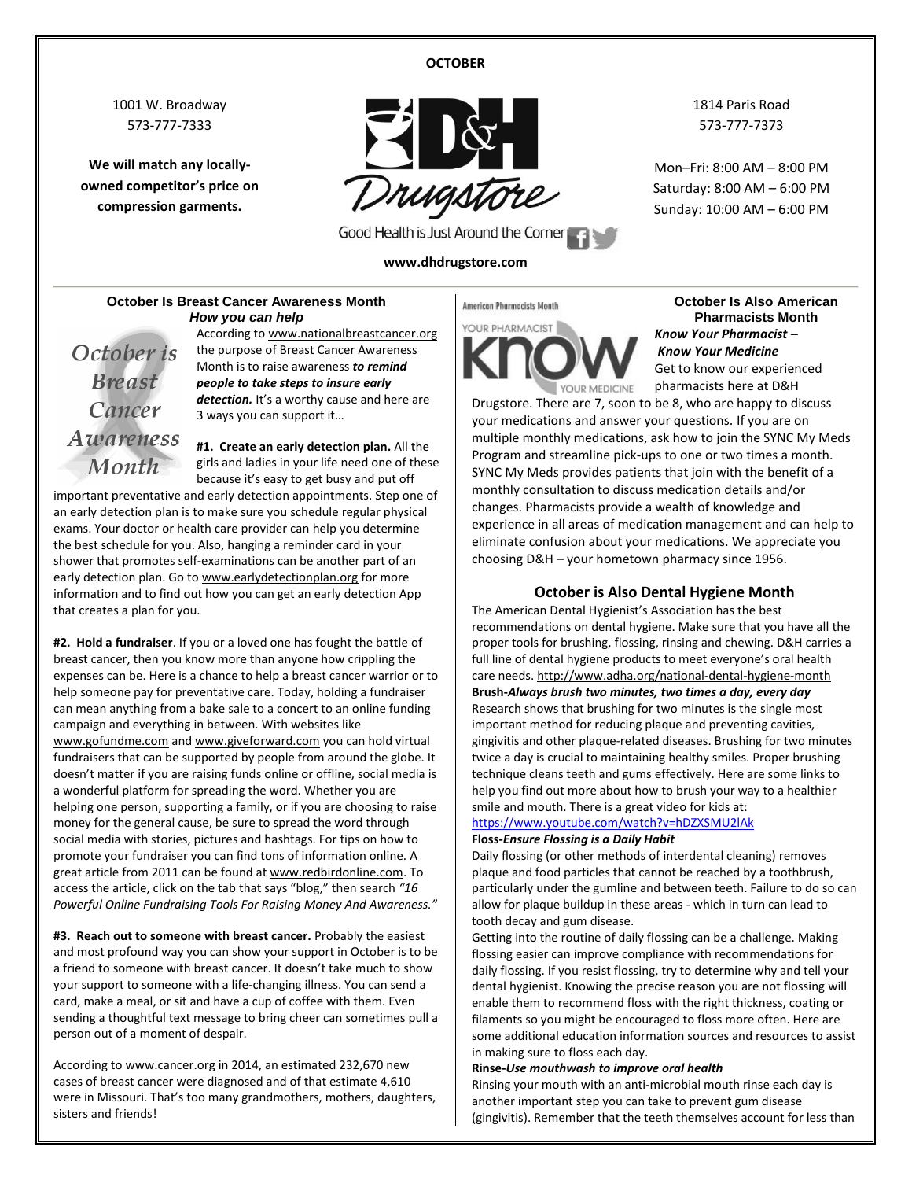### **OCTOBER**

1001 W. Broadway 573-777-7333

**We will match any locallyowned competitor's price on compression garments.**



Good Health is Just Around the Corner

### **www.dhdrugstore.com**

1814 Paris Road 573-777-7373

Mon–Fri: 8:00 AM – 8:00 PM Saturday: 8:00 AM – 6:00 PM Sunday: 10:00 AM – 6:00 PM

### **October Is Breast Cancer Awareness Month** *How you can help*

October is **Breast** Cancer **Awareness**  According t[o www.nationalbreastcancer.org](http://www.nationalbreastcancer.org/) the purpose of Breast Cancer Awareness Month is to raise awareness *to remind people to take steps to insure early*  detection. It's a worthy cause and here are 3 ways you can support it…

**#1. Create an early detection plan.** All the Month girls and ladies in your life need one of these because it's easy to get busy and put off important preventative and early detection appointments. Step one of an early detection plan is to make sure you schedule regular physical exams. Your doctor or health care provider can help you determine the best schedule for you. Also, hanging a reminder card in your shower that promotes self-examinations can be another part of an early detection plan. Go t[o www.earlydetectionplan.org](http://www.earlydetectionplan.org/) for more information and to find out how you can get an early detection App that creates a plan for you.

**#2. Hold a fundraiser**. If you or a loved one has fought the battle of breast cancer, then you know more than anyone how crippling the expenses can be. Here is a chance to help a breast cancer warrior or to help someone pay for preventative care. Today, holding a fundraiser can mean anything from a bake sale to a concert to an online funding campaign and everything in between. With websites like [www.gofundme.com](http://www.gofundme.com/) an[d www.giveforward.com](http://www.giveforward.com/) you can hold virtual fundraisers that can be supported by people from around the globe. It doesn't matter if you are raising funds online or offline, social media is a wonderful platform for spreading the word. Whether you are helping one person, supporting a family, or if you are choosing to raise money for the general cause, be sure to spread the word through social media with stories, pictures and hashtags. For tips on how to promote your fundraiser you can find tons of information online. A great article from 2011 can be found a[t www.redbirdonline.com.](http://www.redbirdonline.com/) To access the article, click on the tab that says "blog," then search *"16 Powerful Online Fundraising Tools For Raising Money And Awareness."*

**#3. Reach out to someone with breast cancer.** Probably the easiest and most profound way you can show your support in October is to be a friend to someone with breast cancer. It doesn't take much to show your support to someone with a life-changing illness. You can send a card, make a meal, or sit and have a cup of coffee with them. Even sending a thoughtful text message to bring cheer can sometimes pull a person out of a moment of despair.

According t[o www.cancer.org](http://www.cancer.org/) in 2014, an estimated 232,670 new cases of breast cancer were diagnosed and of that estimate 4,610 were in Missouri. That's too many grandmothers, mothers, daughters, sisters and friends!

## American Pharmacists Month



**October Is Also American Pharmacists Month** *Know Your Pharmacist – Know Your Medicine* Get to know our experienced pharmacists here at D&H

Drugstore. There are 7, soon to be 8, who are happy to discuss your medications and answer your questions. If you are on multiple monthly medications, ask how to join the SYNC My Meds Program and streamline pick-ups to one or two times a month. SYNC My Meds provides patients that join with the benefit of a monthly consultation to discuss medication details and/or changes. Pharmacists provide a wealth of knowledge and experience in all areas of medication management and can help to eliminate confusion about your medications. We appreciate you choosing D&H – your hometown pharmacy since 1956.

### **October is Also Dental Hygiene Month**

The American Dental Hygienist's Association has the best recommendations on dental hygiene. Make sure that you have all the proper tools for brushing, flossing, rinsing and chewing. D&H carries a full line of dental hygiene products to meet everyone's oral health care needs.<http://www.adha.org/national-dental-hygiene-month> **Brush-***Always brush two minutes, two times a day, every day* Research shows that brushing for two minutes is the single most important method for reducing plaque and preventing cavities, gingivitis and other plaque-related diseases. Brushing for two minutes twice a day is crucial to maintaining healthy smiles. Proper brushing technique cleans teeth and gums effectively. Here are some links to help you find out more about how to brush your way to a healthier smile and mouth. There is a great video for kids at:

### <https://www.youtube.com/watch?v=hDZXSMU2lAk> **Floss-***Ensure Flossing is a Daily Habit*

Daily flossing (or other methods of interdental cleaning) removes plaque and food particles that cannot be reached by a toothbrush, particularly under the gumline and between teeth. Failure to do so can allow for plaque buildup in these areas - which in turn can lead to tooth decay and gum disease.

Getting into the routine of daily flossing can be a challenge. Making flossing easier can improve compliance with recommendations for daily flossing. If you resist flossing, try to determine why and tell your dental hygienist. Knowing the precise reason you are not flossing will enable them to recommend floss with the right thickness, coating or filaments so you might be encouraged to floss more often. Here are some additional education information sources and resources to assist in making sure to floss each day.

### **Rinse-***Use mouthwash to improve oral health*

Rinsing your mouth with an anti-microbial mouth rinse each day is another important step you can take to prevent gum disease (gingivitis). Remember that the teeth themselves account for less than